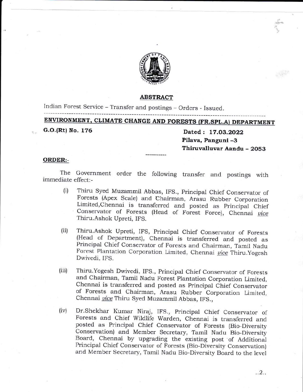

#### ABSTRACT

Indian Forest Service - Transfer and postings - Orders - Issued.

# ENVIRONMENT, CLIMATE CHANGE AND FORESTS (FR.SPL.A) DEPARTMENT

G.O.(Rt) No. 176

Dated: 17.03.2022 Pilava, Panguni -3 Thiruvalluvar Aandu - 2053 4E+  $\tilde{\tau}$ t

### ORDER:-

The Governrnent order the following transfer and postings with imrnediate effect:-

- Thiru Syed Muzammil Abbas, IFS., Principal Chief Conservator of Forests (Apex Scale) and Chairman, Arasu Rubber Corporation Limited, Chennai is transferred and posted as Principal Chief Conservator of Forests (Head of Fore Thiru.Ashok Upreti, IFS.  $(i)$
- Thiru.Ashok upreti, IFS, principal chief conservator of Forests (Head of Department), chennai is transferred and posted as Principai chief conservator of Forests and chairrnan! Tamil Nadu Forest Plantation Corporation Limited, Chennai vice Thiru. Yogesh Dwivedi, IFS. (ii)
- Thiru.Yogesh Dwivedi, IFS., principal chief conservator of Forests and chairrnan, Tamil Nadu Forest plantation corporation Limited. of Forests and Chairman, Arasu Rubber Corporation Limited, Chennai vice Thiru Syed Muzammil Abbas, IFS., (iii)
- Dr.Shekhar Kumar Niraj, IFS., Principal Chief Conservator of Forests and Chief Wildlife Warden, Chennai is transferred and posted as Principal Chief Conservator of Forests (Bio-Diversity conservation) and Member secretary, Tamil Nadu Bio-Diversity Board, chennai by upgrading the existing post of Additional Principal Chief conservator of Forests (Bio-Diversity conservation) and Member secretary, Tamil Nadu Bio-Diversity Board to the level (iv)

..2..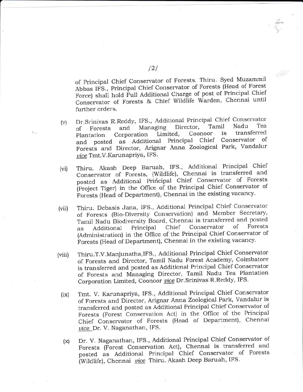of Principal chief conservator of Forests. Thiru. syed Muzammil Abbas IFS., Principal Chief Conservator of Forests (Head of Forest Force) shall hold Full Additional Charge of post of Principal Chief Conservator of Forests & Chief Wildlife Warden, Chennai until further orders.

- (v) Dr.Srinivas R.Reddy, IFS., Additional Principal chief conservator of Forests and Managing Director, Tamil Nadu Tea<br>Plantation Corporation Limited, Coonoor is transferred Plantation Corporation Emmedi, Corrected<br>and posted as Additional Principal Chief Conservator of<br>Forests and Director, Arignar Anna Zoological Park, Vandalur vice Tmt.V. Karunapriya, IFS.
- (vi) Thiru. Akash Deep Baruah, IFS., Additional Principal chief Conservator of Forests, (Wildlife), Chennai is transferred and posted as Additional Principal Chief Conservator of Forests (Project Tiger) in the Office of the Principal Chief Conservator of Forests (Head of Department), Chennai in the existing vacancy.
- (vii) . Thiru. Debasis Jana, IFS., Additional Principal Chief Conservator of Forests (Bio-Diversity Conservation) and Member Secretary, Tamil Nadu Biodiversity Board, Chennai is transferred and posted as Additional Principal Chief Conservator of Forests as Additional Principal Chief Conservator of Forests<br>(Administration) in the Office of the Principal Chief Conservator of Forests (Head of Department), Chennai in the existing vacancy.
- (viii) Thiru.T.V.Manjunatha,IFS., Additional Principal Chief Conservator of Forests and Director, Tamil Nadu Forest Academy, Coimbatore is transferred and posted as Additional Principal Chief Conservator of Forests and Managing Director, Tamil Nadu Tea Plantation Corporation Limited, Coonoor vice Dr. Srinivas R.Reddy, IFS.
	- (ix) Tmt. V. Karunapriya, IFS., Additional Principal Chief Conservator of Forests and Director, Arignar Anna Zoological Park, Vandalur is transferred and posted as Additional Principal Chief Conservator of Forests (Forest Conservation Act) in the Office of the Principal Chief Conservator of Forests (Head of Department), Chennai uice Dr. V. Naganathan, IFS.
	- (x) Dr. V. Naganathan, IFS., Additional Principal Chief Conservator of Forests (Forest Conservation Act), Chennai is transferred and posted as Additional Principal Chief Conservator of Forests (Wildlife), Chennai vice Thiru. Akash Deep Baruah, IFS.